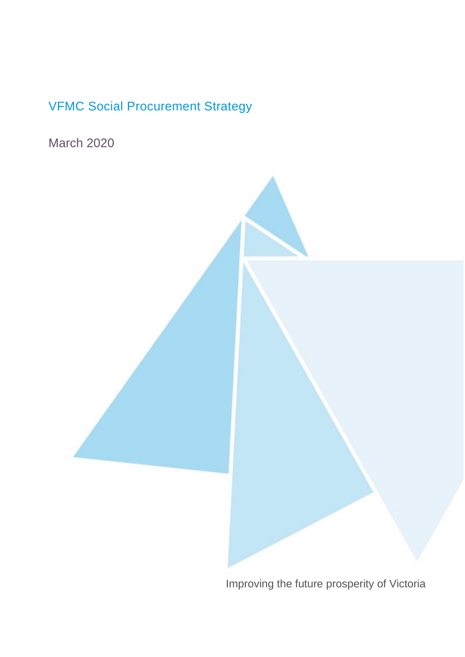# VFMC Social Procurement Strategy

March 2020



Improving the future prosperity of Victoria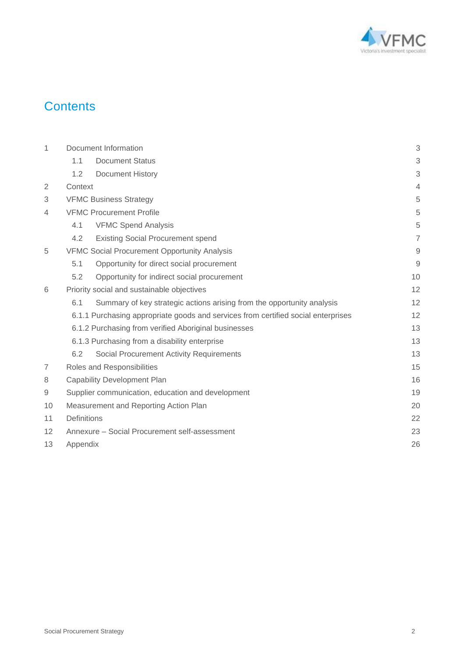

## **Contents**

| 1              | Document Information |                                                                                   |                |  |  |  |
|----------------|----------------------|-----------------------------------------------------------------------------------|----------------|--|--|--|
|                | 1.1                  | <b>Document Status</b>                                                            | 3              |  |  |  |
|                | 1.2                  | <b>Document History</b>                                                           | 3              |  |  |  |
| $\overline{2}$ | Context              |                                                                                   | $\overline{4}$ |  |  |  |
| 3              |                      | <b>VFMC Business Strategy</b>                                                     | 5              |  |  |  |
| $\overline{4}$ |                      | <b>VFMC Procurement Profile</b>                                                   | 5              |  |  |  |
|                | 4.1                  | <b>VFMC Spend Analysis</b>                                                        | 5              |  |  |  |
|                | 4.2                  | <b>Existing Social Procurement spend</b>                                          | $\overline{7}$ |  |  |  |
| 5              |                      | <b>VFMC Social Procurement Opportunity Analysis</b>                               | $\mathsf{9}$   |  |  |  |
|                | 5.1                  | Opportunity for direct social procurement                                         | $\overline{9}$ |  |  |  |
|                | 5.2                  | Opportunity for indirect social procurement                                       | 10             |  |  |  |
| 6              |                      | Priority social and sustainable objectives                                        | 12             |  |  |  |
|                | 6.1                  | Summary of key strategic actions arising from the opportunity analysis            | 12             |  |  |  |
|                |                      | 6.1.1 Purchasing appropriate goods and services from certified social enterprises | 12             |  |  |  |
|                |                      | 6.1.2 Purchasing from verified Aboriginal businesses                              | 13             |  |  |  |
|                |                      | 6.1.3 Purchasing from a disability enterprise                                     | 13             |  |  |  |
|                | 6.2                  | Social Procurement Activity Requirements                                          | 13             |  |  |  |
| 7              |                      | Roles and Responsibilities                                                        | 15             |  |  |  |
| 8              |                      | <b>Capability Development Plan</b>                                                | 16             |  |  |  |
| $\mathsf 9$    |                      | Supplier communication, education and development                                 | 19             |  |  |  |
| 10             |                      | Measurement and Reporting Action Plan                                             | 20             |  |  |  |
| 11             | Definitions<br>22    |                                                                                   |                |  |  |  |
| 12             |                      | Annexure - Social Procurement self-assessment                                     | 23             |  |  |  |
| 13             | Appendix<br>26       |                                                                                   |                |  |  |  |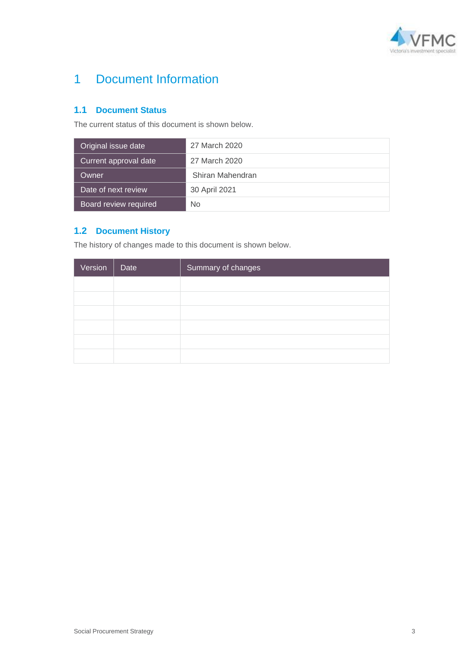

# <span id="page-2-0"></span>1 Document Information

#### <span id="page-2-1"></span>**1.1 Document Status**

The current status of this document is shown below.

| Original issue date   | 27 March 2020    |
|-----------------------|------------------|
| Current approval date | 27 March 2020    |
| Owner                 | Shiran Mahendran |
| Date of next review   | 30 April 2021    |
| Board review required | No               |

### <span id="page-2-2"></span>**1.2 Document History**

The history of changes made to this document is shown below.

| Version | Date | Summary of changes |
|---------|------|--------------------|
|         |      |                    |
|         |      |                    |
|         |      |                    |
|         |      |                    |
|         |      |                    |
|         |      |                    |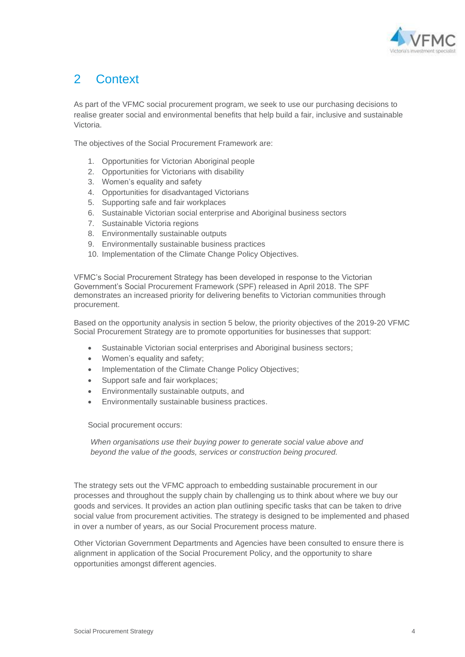

# <span id="page-3-0"></span>2 Context

As part of the VFMC social procurement program, we seek to use our purchasing decisions to realise greater social and environmental benefits that help build a fair, inclusive and sustainable Victoria.

The objectives of the Social Procurement Framework are:

- 1. Opportunities for Victorian Aboriginal people
- 2. Opportunities for Victorians with disability
- 3. Women's equality and safety
- 4. Opportunities for disadvantaged Victorians
- 5. Supporting safe and fair workplaces
- 6. Sustainable Victorian social enterprise and Aboriginal business sectors
- 7. Sustainable Victoria regions
- 8. Environmentally sustainable outputs
- 9. Environmentally sustainable business practices
- 10. Implementation of the Climate Change Policy Objectives.

VFMC's Social Procurement Strategy has been developed in response to the Victorian Government's Social Procurement Framework (SPF) released in April 2018. The SPF demonstrates an increased priority for delivering benefits to Victorian communities through procurement.

Based on the opportunity analysis in section 5 below, the priority objectives of the 2019-20 VFMC Social Procurement Strategy are to promote opportunities for businesses that support:

- Sustainable Victorian social enterprises and Aboriginal business sectors;
- Women's equality and safety;
- Implementation of the Climate Change Policy Objectives;
- Support safe and fair workplaces;
- Environmentally sustainable outputs, and
- Environmentally sustainable business practices.

Social procurement occurs:

*When organisations use their buying power to generate social value above and beyond the value of the goods, services or construction being procured.* 

The strategy sets out the VFMC approach to embedding sustainable procurement in our processes and throughout the supply chain by challenging us to think about where we buy our goods and services. It provides an action plan outlining specific tasks that can be taken to drive social value from procurement activities. The strategy is designed to be implemented and phased in over a number of years, as our Social Procurement process mature.

<span id="page-3-1"></span>Other Victorian Government Departments and Agencies have been consulted to ensure there is alignment in application of the Social Procurement Policy, and the opportunity to share opportunities amongst different agencies.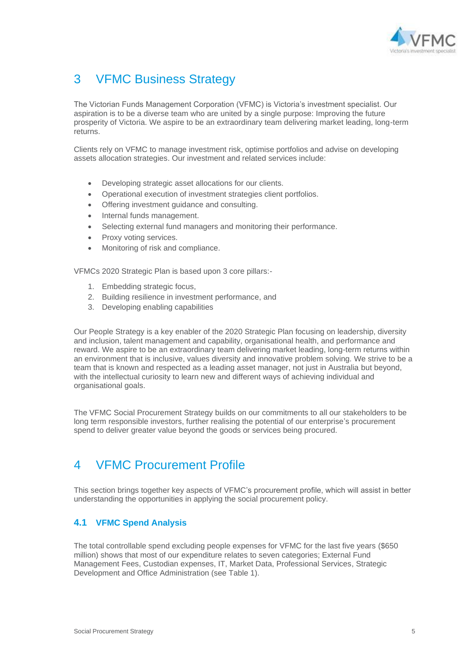

## 3 VFMC Business Strategy

The Victorian Funds Management Corporation (VFMC) is Victoria's investment specialist. Our aspiration is to be a diverse team who are united by a single purpose: Improving the future prosperity of Victoria. We aspire to be an extraordinary team delivering market leading, long-term returns.

Clients rely on VFMC to manage investment risk, optimise portfolios and advise on developing assets allocation strategies. Our investment and related services include:

- Developing strategic asset allocations for our clients.
- Operational execution of investment strategies client portfolios.
- Offering investment guidance and consulting.
- Internal funds management.
- Selecting external fund managers and monitoring their performance.
- Proxy voting services.
- Monitoring of risk and compliance.

VFMCs 2020 Strategic Plan is based upon 3 core pillars:-

- 1. Embedding strategic focus,
- 2. Building resilience in investment performance, and
- 3. Developing enabling capabilities

Our People Strategy is a key enabler of the 2020 Strategic Plan focusing on leadership, diversity and inclusion, talent management and capability, organisational health, and performance and reward. We aspire to be an extraordinary team delivering market leading, long-term returns within an environment that is inclusive, values diversity and innovative problem solving. We strive to be a team that is known and respected as a leading asset manager, not just in Australia but beyond, with the intellectual curiosity to learn new and different ways of achieving individual and organisational goals.

The VFMC Social Procurement Strategy builds on our commitments to all our stakeholders to be long term responsible investors, further realising the potential of our enterprise's procurement spend to deliver greater value beyond the goods or services being procured.

### <span id="page-4-0"></span>4 VFMC Procurement Profile

This section brings together key aspects of VFMC's procurement profile, which will assist in better understanding the opportunities in applying the social procurement policy.

#### <span id="page-4-1"></span>**4.1 VFMC Spend Analysis**

The total controllable spend excluding people expenses for VFMC for the last five years (\$650 million) shows that most of our expenditure relates to seven categories; External Fund Management Fees, Custodian expenses, IT, Market Data, Professional Services, Strategic Development and Office Administration (see Table 1).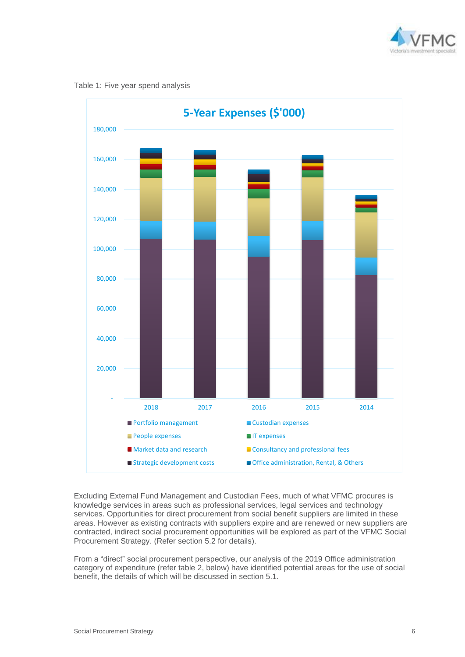

Table 1: Five year spend analysis



Excluding External Fund Management and Custodian Fees, much of what VFMC procures is knowledge services in areas such as professional services, legal services and technology services. Opportunities for direct procurement from social benefit suppliers are limited in these areas. However as existing contracts with suppliers expire and are renewed or new suppliers are contracted, indirect social procurement opportunities will be explored as part of the VFMC Social Procurement Strategy. (Refer section 5.2 for details).

From a "direct" social procurement perspective, our analysis of the 2019 Office administration category of expenditure (refer table 2, below) have identified potential areas for the use of social benefit, the details of which will be discussed in section 5.1.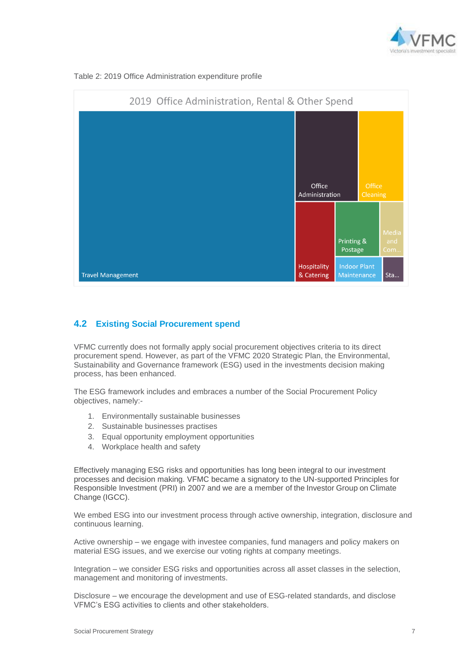





#### <span id="page-6-0"></span>**4.2 Existing Social Procurement spend**

VFMC currently does not formally apply social procurement objectives criteria to its direct procurement spend. However, as part of the VFMC 2020 Strategic Plan, the Environmental, Sustainability and Governance framework (ESG) used in the investments decision making process, has been enhanced.

The ESG framework includes and embraces a number of the Social Procurement Policy objectives, namely:-

- 1. Environmentally sustainable businesses
- 2. Sustainable businesses practises
- 3. Equal opportunity employment opportunities
- 4. Workplace health and safety

Effectively managing ESG risks and opportunities has long been integral to our investment processes and decision making. VFMC became a signatory to the UN-supported Principles for Responsible Investment (PRI) in 2007 and we are a member of the Investor Group on Climate Change (IGCC).

We embed ESG into our investment process through active ownership, integration, disclosure and continuous learning.

Active ownership – we engage with investee companies, fund managers and policy makers on material ESG issues, and we exercise our voting rights at company meetings.

Integration – we consider ESG risks and opportunities across all asset classes in the selection, management and monitoring of investments.

Disclosure – we encourage the development and use of ESG-related standards, and disclose VFMC's ESG activities to clients and other stakeholders.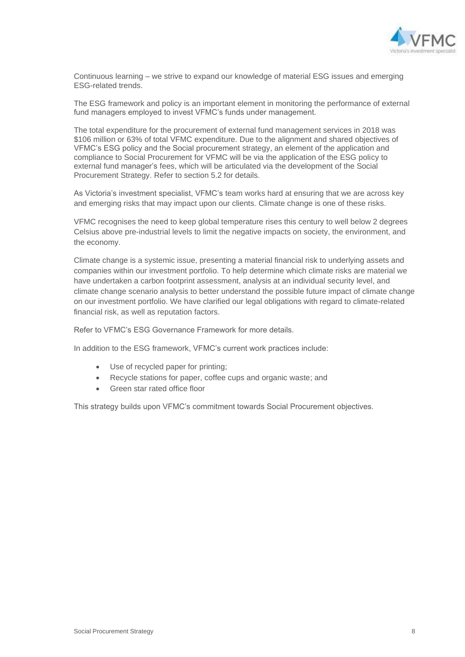

Continuous learning – we strive to expand our knowledge of material ESG issues and emerging ESG-related trends.

The ESG framework and policy is an important element in monitoring the performance of external fund managers employed to invest VFMC's funds under management.

The total expenditure for the procurement of external fund management services in 2018 was \$106 million or 63% of total VFMC expenditure. Due to the alignment and shared objectives of VFMC's ESG policy and the Social procurement strategy, an element of the application and compliance to Social Procurement for VFMC will be via the application of the ESG policy to external fund manager's fees, which will be articulated via the development of the Social Procurement Strategy. Refer to section 5.2 for details.

As Victoria's investment specialist, VFMC's team works hard at ensuring that we are across key and emerging risks that may impact upon our clients. Climate change is one of these risks.

VFMC recognises the need to keep global temperature rises this century to well below 2 degrees Celsius above pre-industrial levels to limit the negative impacts on society, the environment, and the economy.

Climate change is a systemic issue, presenting a material financial risk to underlying assets and companies within our investment portfolio. To help determine which climate risks are material we have undertaken a carbon footprint assessment, analysis at an individual security level, and climate change scenario analysis to better understand the possible future impact of climate change on our investment portfolio. We have clarified our legal obligations with regard to climate-related financial risk, as well as reputation factors.

Refer to VFMC's ESG Governance Framework for more details.

In addition to the ESG framework, VFMC's current work practices include:

- Use of recycled paper for printing;
- Recycle stations for paper, coffee cups and organic waste; and
- Green star rated office floor

This strategy builds upon VFMC's commitment towards Social Procurement objectives.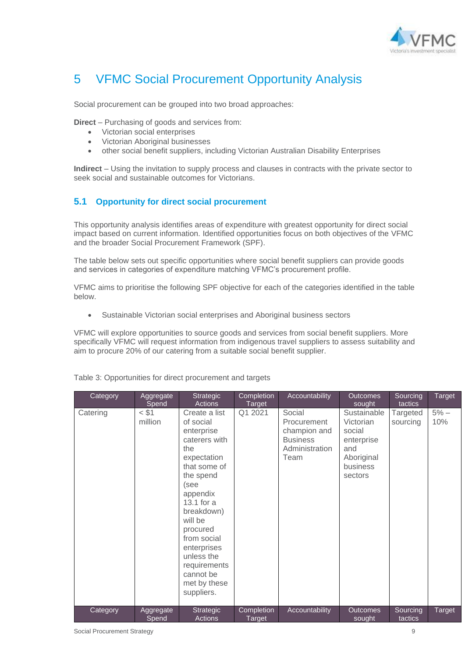

## <span id="page-8-0"></span>5 VFMC Social Procurement Opportunity Analysis

Social procurement can be grouped into two broad approaches:

**Direct** – Purchasing of goods and services from:

- Victorian social enterprises
- Victorian Aboriginal businesses
- other social benefit suppliers, including Victorian Australian Disability Enterprises

**Indirect** – Using the invitation to supply process and clauses in contracts with the private sector to seek social and sustainable outcomes for Victorians.

#### <span id="page-8-1"></span>**5.1 Opportunity for direct social procurement**

This opportunity analysis identifies areas of expenditure with greatest opportunity for direct social impact based on current information. Identified opportunities focus on both objectives of the VFMC and the broader Social Procurement Framework (SPF).

The table below sets out specific opportunities where social benefit suppliers can provide goods and services in categories of expenditure matching VFMC's procurement profile.

VFMC aims to prioritise the following SPF objective for each of the categories identified in the table below.

• Sustainable Victorian social enterprises and Aboriginal business sectors

VFMC will explore opportunities to source goods and services from social benefit suppliers. More specifically VFMC will request information from indigenous travel suppliers to assess suitability and aim to procure 20% of our catering from a suitable social benefit supplier.

| Category | Aggregate<br>Spend | Strategic<br><b>Actions</b>                                                                                                                                                                                                                                                                  | Completion<br>Target        | Accountability                                                                     | <b>Outcomes</b><br>sought                                                                    | Sourcing<br>tactics  | Target        |
|----------|--------------------|----------------------------------------------------------------------------------------------------------------------------------------------------------------------------------------------------------------------------------------------------------------------------------------------|-----------------------------|------------------------------------------------------------------------------------|----------------------------------------------------------------------------------------------|----------------------|---------------|
| Catering | < \$1<br>million   | Create a list<br>of social<br>enterprise<br>caterers with<br>the<br>expectation<br>that some of<br>the spend<br>(see<br>appendix<br>13.1 for $a$<br>breakdown)<br>will be<br>procured<br>from social<br>enterprises<br>unless the<br>requirements<br>cannot be<br>met by these<br>suppliers. | Q1 2021                     | Social<br>Procurement<br>champion and<br><b>Business</b><br>Administration<br>Team | Sustainable<br>Victorian<br>social<br>enterprise<br>and<br>Aboriginal<br>business<br>sectors | Targeted<br>sourcing | $5% -$<br>10% |
| Category | Aggregate<br>Spend | <b>Strategic</b><br>Actions                                                                                                                                                                                                                                                                  | Completion<br><b>Target</b> | Accountability                                                                     | <b>Outcomes</b><br>sought                                                                    | Sourcing<br>tactics  | Target        |

Table 3: Opportunities for direct procurement and targets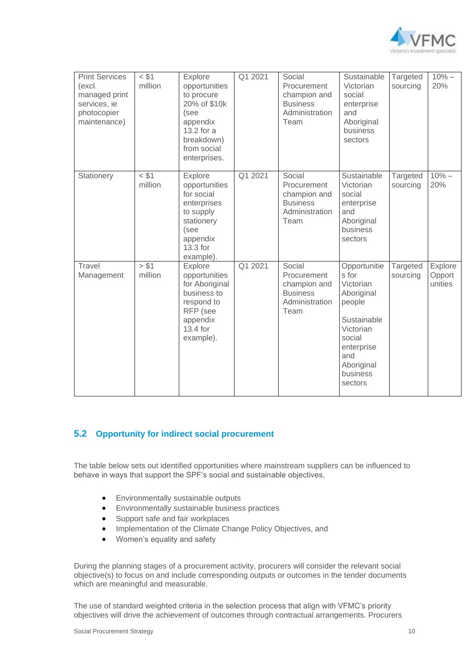

| <b>Print Services</b><br>(excl.<br>managed print<br>services, ie<br>photocopier<br>maintenance) | < \$1<br>million   | Explore<br>opportunities<br>to procure<br>20% of \$10k<br>(see<br>appendix<br>13.2 for a<br>breakdown)<br>from social<br>enterprises. | Q1 2021 | Social<br>Procurement<br>champion and<br><b>Business</b><br>Administration<br>Team | Sustainable<br>Victorian<br>social<br>enterprise<br>and<br>Aboriginal<br>business<br>sectors                                                               | Targeted<br>sourcing | $10% -$<br>20%               |
|-------------------------------------------------------------------------------------------------|--------------------|---------------------------------------------------------------------------------------------------------------------------------------|---------|------------------------------------------------------------------------------------|------------------------------------------------------------------------------------------------------------------------------------------------------------|----------------------|------------------------------|
| Stationery                                                                                      | $<$ \$1<br>million | Explore<br>opportunities<br>for social<br>enterprises<br>to supply<br>stationery<br>(see<br>appendix<br>13.3 for<br>example).         | Q1 2021 | Social<br>Procurement<br>champion and<br><b>Business</b><br>Administration<br>Team | Sustainable<br>Victorian<br>social<br>enterprise<br>and<br>Aboriginal<br>business<br>sectors                                                               | Targeted<br>sourcing | $10% -$<br>20%               |
| Travel<br>Management                                                                            | > \$1<br>million   | Explore<br>opportunities<br>for Aboriginal<br>business to<br>respond to<br>RFP (see<br>appendix<br>13.4 for<br>example).              | Q1 2021 | Social<br>Procurement<br>champion and<br><b>Business</b><br>Administration<br>Team | Opportunitie<br>s for<br>Victorian<br>Aboriginal<br>people<br>Sustainable<br>Victorian<br>social<br>enterprise<br>and<br>Aboriginal<br>business<br>sectors | Targeted<br>sourcing | Explore<br>Opport<br>unities |

#### <span id="page-9-0"></span>**5.2 Opportunity for indirect social procurement**

The table below sets out identified opportunities where mainstream suppliers can be influenced to behave in ways that support the SPF's social and sustainable objectives,

- Environmentally sustainable outputs
- Environmentally sustainable business practices
- Support safe and fair workplaces
- Implementation of the Climate Change Policy Objectives, and
- Women's equality and safety

During the planning stages of a procurement activity, procurers will consider the relevant social objective(s) to focus on and include corresponding outputs or outcomes in the tender documents which are meaningful and measurable.

The use of standard weighted criteria in the selection process that align with VFMC's priority objectives will drive the achievement of outcomes through contractual arrangements. Procurers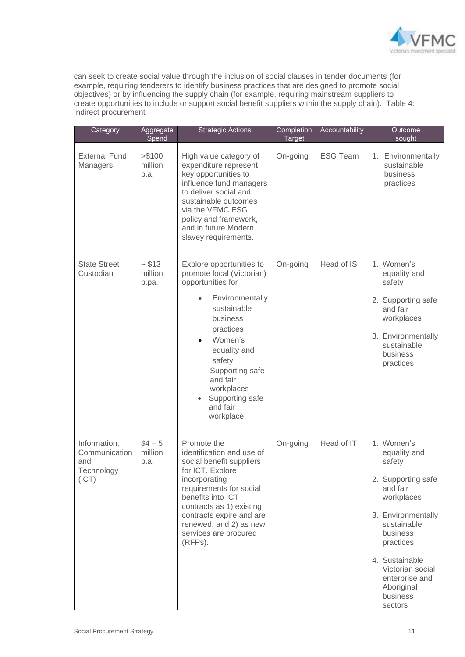

can seek to create social value through the inclusion of social clauses in tender documents (for example, requiring tenderers to identify business practices that are designed to promote social objectives) or by influencing the supply chain (for example, requiring mainstream suppliers to create opportunities to include or support social benefit suppliers within the supply chain). Table 4: Indirect procurement

| Category                                                    | Aggregate<br>Spend          | <b>Strategic Actions</b>                                                                                                                                                                                                                                                         | Completion<br><b>Target</b> | Accountability  | Outcome<br>sought                                                                                                                                                                                                                               |
|-------------------------------------------------------------|-----------------------------|----------------------------------------------------------------------------------------------------------------------------------------------------------------------------------------------------------------------------------------------------------------------------------|-----------------------------|-----------------|-------------------------------------------------------------------------------------------------------------------------------------------------------------------------------------------------------------------------------------------------|
| <b>External Fund</b><br>Managers                            | > \$100<br>million<br>p.a.  | High value category of<br>expenditure represent<br>key opportunities to<br>influence fund managers<br>to deliver social and<br>sustainable outcomes<br>via the VFMC ESG<br>policy and framework,<br>and in future Modern<br>slavey requirements.                                 | On-going                    | <b>ESG Team</b> | 1. Environmentally<br>sustainable<br>business<br>practices                                                                                                                                                                                      |
| <b>State Street</b><br>Custodian                            | ~513<br>million<br>p.pa.    | Explore opportunities to<br>promote local (Victorian)<br>opportunities for<br>Environmentally<br>$\bullet$<br>sustainable<br>business<br>practices<br>Women's<br>equality and<br>safety<br>Supporting safe<br>and fair<br>workplaces<br>Supporting safe<br>and fair<br>workplace | On-going                    | Head of IS      | 1. Women's<br>equality and<br>safety<br>2. Supporting safe<br>and fair<br>workplaces<br>3. Environmentally<br>sustainable<br>business<br>practices                                                                                              |
| Information,<br>Communication<br>and<br>Technology<br>(ICT) | $$4 - 5$<br>million<br>p.a. | Promote the<br>identification and use of<br>social benefit suppliers<br>for ICT. Explore<br>incorporating<br>requirements for social<br>benefits into ICT<br>contracts as 1) existing<br>contracts expire and are<br>renewed, and 2) as new<br>services are procured<br>(RFPs).  | On-going                    | Head of IT      | 1. Women's<br>equality and<br>safety<br>2. Supporting safe<br>and fair<br>workplaces<br>3. Environmentally<br>sustainable<br>business<br>practices<br>4. Sustainable<br>Victorian social<br>enterprise and<br>Aboriginal<br>business<br>sectors |

ı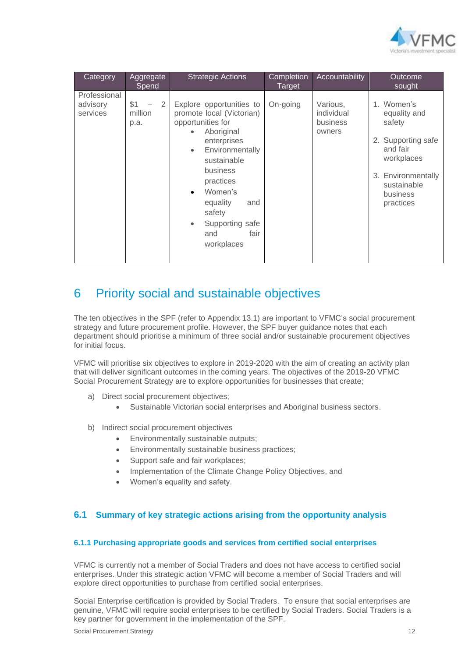

| Category                             | Aggregate<br>Spend                       | <b>Strategic Actions</b>                                                                                                                                                                                                                                                | Completion<br>Target | Accountability                               | Outcome<br>sought                                                                                                                                        |
|--------------------------------------|------------------------------------------|-------------------------------------------------------------------------------------------------------------------------------------------------------------------------------------------------------------------------------------------------------------------------|----------------------|----------------------------------------------|----------------------------------------------------------------------------------------------------------------------------------------------------------|
| Professional<br>advisory<br>services | \$1<br>$\overline{2}$<br>million<br>p.a. | Explore opportunities to<br>promote local (Victorian)<br>opportunities for<br>Aboriginal<br>enterprises<br>Environmentally<br>$\bullet$<br>sustainable<br>business<br>practices<br>Women's<br>equality<br>and<br>safety<br>Supporting safe<br>fair<br>and<br>workplaces | On-going             | Various,<br>individual<br>business<br>owners | 1. Women's<br>equality and<br>safety<br>Supporting safe<br>2.<br>and fair<br>workplaces<br>Environmentally<br>3.<br>sustainable<br>business<br>practices |

### <span id="page-11-0"></span>6 Priority social and sustainable objectives

The ten objectives in the SPF (refer to Appendix 13.1) are important to VFMC's social procurement strategy and future procurement profile. However, the SPF buyer guidance notes that each department should prioritise a minimum of three social and/or sustainable procurement objectives for initial focus.

VFMC will prioritise six objectives to explore in 2019-2020 with the aim of creating an activity plan that will deliver significant outcomes in the coming years. The objectives of the 2019-20 VFMC Social Procurement Strategy are to explore opportunities for businesses that create;

- a) Direct social procurement objectives;
	- Sustainable Victorian social enterprises and Aboriginal business sectors.
- b) Indirect social procurement objectives
	- Environmentally sustainable outputs;
	- Environmentally sustainable business practices;
	- Support safe and fair workplaces;
	- Implementation of the Climate Change Policy Objectives, and
	- Women's equality and safety.

#### <span id="page-11-1"></span>**6.1 Summary of key strategic actions arising from the opportunity analysis**

#### <span id="page-11-2"></span>**6.1.1 Purchasing appropriate goods and services from certified social enterprises**

VFMC is currently not a member of Social Traders and does not have access to certified social enterprises. Under this strategic action VFMC will become a member of Social Traders and will explore direct opportunities to purchase from certified social enterprises.

Social Enterprise certification is provided by Social Traders. To ensure that social enterprises are genuine, VFMC will require social enterprises to be certified by Social Traders. Social Traders is a key partner for government in the implementation of the SPF.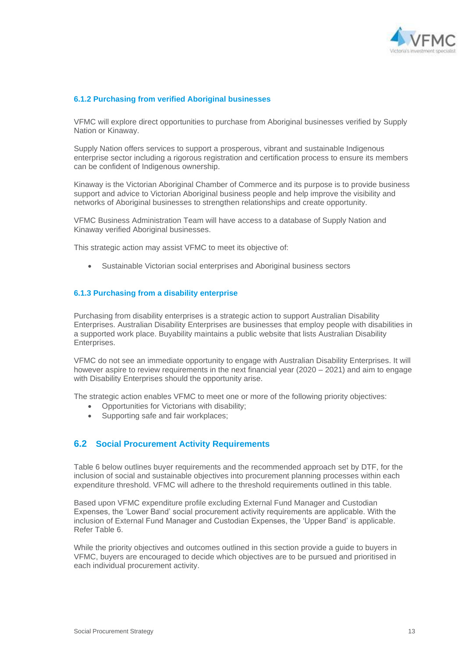

#### <span id="page-12-0"></span>**6.1.2 Purchasing from verified Aboriginal businesses**

VFMC will explore direct opportunities to purchase from Aboriginal businesses verified by Supply Nation or Kinaway.

Supply Nation offers services to support a prosperous, vibrant and sustainable Indigenous enterprise sector including a rigorous registration and certification process to ensure its members can be confident of Indigenous ownership.

Kinaway is the Victorian Aboriginal Chamber of Commerce and its purpose is to provide business support and advice to Victorian Aboriginal business people and help improve the visibility and networks of Aboriginal businesses to strengthen relationships and create opportunity.

VFMC Business Administration Team will have access to a database of Supply Nation and Kinaway verified Aboriginal businesses.

This strategic action may assist VFMC to meet its objective of:

• Sustainable Victorian social enterprises and Aboriginal business sectors

#### <span id="page-12-1"></span>**6.1.3 Purchasing from a disability enterprise**

Purchasing from disability enterprises is a strategic action to support Australian Disability Enterprises. Australian Disability Enterprises are businesses that employ people with disabilities in a supported work place. Buyability maintains a public website that lists Australian Disability Enterprises.

VFMC do not see an immediate opportunity to engage with Australian Disability Enterprises. It will however aspire to review requirements in the next financial year (2020 – 2021) and aim to engage with Disability Enterprises should the opportunity arise.

The strategic action enables VFMC to meet one or more of the following priority objectives:

- Opportunities for Victorians with disability;
- Supporting safe and fair workplaces;

#### <span id="page-12-2"></span>**6.2 Social Procurement Activity Requirements**

Table 6 below outlines buyer requirements and the recommended approach set by DTF, for the inclusion of social and sustainable objectives into procurement planning processes within each expenditure threshold. VFMC will adhere to the threshold requirements outlined in this table.

Based upon VFMC expenditure profile excluding External Fund Manager and Custodian Expenses, the 'Lower Band' social procurement activity requirements are applicable. With the inclusion of External Fund Manager and Custodian Expenses, the 'Upper Band' is applicable. Refer Table 6.

While the priority objectives and outcomes outlined in this section provide a guide to buyers in VFMC, buyers are encouraged to decide which objectives are to be pursued and prioritised in each individual procurement activity.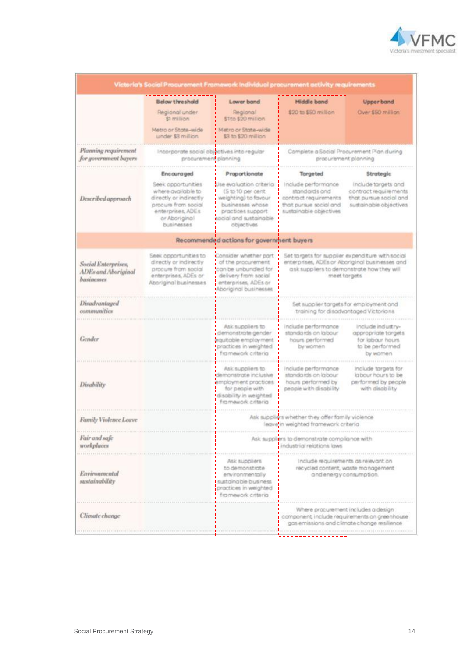

|                                                          |                                                                                                                                               |                                                                                                                                                       | Victoria's Social Procurement Framework Individual procurement activity requirements                                                                              |                                                                                                  |
|----------------------------------------------------------|-----------------------------------------------------------------------------------------------------------------------------------------------|-------------------------------------------------------------------------------------------------------------------------------------------------------|-------------------------------------------------------------------------------------------------------------------------------------------------------------------|--------------------------------------------------------------------------------------------------|
|                                                          | <b>Below threshold</b>                                                                                                                        | Lower band                                                                                                                                            | Middle band                                                                                                                                                       | <b>Upper band</b>                                                                                |
|                                                          | Regional under<br>\$1 million<br>Metro or State-wide<br>under \$3 million                                                                     | Regional<br>\$1to \$20 million<br>Metro or State-wide<br>\$3 to \$20 million                                                                          | \$20 to \$50 million                                                                                                                                              | Over \$50 million                                                                                |
| Planning requirement<br>for government buyers            | Incorporate social objectives into regular                                                                                                    | procurement planning                                                                                                                                  | Complete a Social Procurement Plan during<br>procurement planning                                                                                                 |                                                                                                  |
|                                                          | <b>Encouraged</b>                                                                                                                             | Proportionate                                                                                                                                         | <b>Targeted</b>                                                                                                                                                   | Strategic                                                                                        |
| Described approach                                       | Seek opportunities<br>where available to<br>directly or indirectly<br>procure from social<br>enterprises, ADEs<br>or Aboriginal<br>businesses | Use evaluation criteria<br>(5 to 10 per cent.<br>weighting) to favour<br>businesses whose<br>practices support<br>ocial and sustainable<br>objectives | Include performance<br>standards and<br>contract requirements<br>that pursue social and<br>sustainable objectives                                                 | Include targets and<br>contract requirements<br>that pursue social and<br>sustainable objectives |
|                                                          |                                                                                                                                               | Recommended actions for government buyers                                                                                                             |                                                                                                                                                                   |                                                                                                  |
| Social Enterprises,<br>ADEs and Aboriginal<br>businesses | Seek opportunities to<br>directly or indirectly<br>procure from social<br>enterprises, ADEs or<br>Aboriginal businesses                       | Consider whether part<br>of the procurement<br>can be unbundled for<br>delivery from social<br>enterprises, ADEs or<br>Aboriginal businesses          | Set targets for supplier expenditure with social<br>enterprises, ADEs or Aboriginal businesses and<br>ask suppliers to demonstrate how they will<br>meet toroets. |                                                                                                  |
| Disadvantaged<br>communities                             |                                                                                                                                               |                                                                                                                                                       | Set supplier targets for employment and<br>training for disadvantaged Victorians.                                                                                 |                                                                                                  |
| Gender                                                   |                                                                                                                                               | Ask suppliers to<br>demonstitzte gender<br>equitable employment<br>practices in weighted<br>framework criteria                                        | include performance<br>standards on labour<br>hours performed<br>by women                                                                                         | include industry-<br>appropriate targets.<br>for labour hours.<br>to be performed.<br>by women   |
| Disability                                               |                                                                                                                                               | Ask suppliers to<br>demonstrate inclusive<br>employment practices<br>for people with<br>disability in weighted<br>framework criteria                  | include performance<br>standards on labour<br>hours performed by<br>people with disability                                                                        | include targets for<br>labour hours to be<br>performed by people<br>with disability              |
| Family Violence Leave                                    |                                                                                                                                               |                                                                                                                                                       | Ask suppliers whether they offer family violence<br>leave in weighted framework criteria                                                                          |                                                                                                  |
| Fair and safe<br>workplaces                              |                                                                                                                                               |                                                                                                                                                       | Ask suppliers to demonstrate compliance with<br>industrial relations laws                                                                                         |                                                                                                  |
| Environmental<br>sustainability                          |                                                                                                                                               | Ask suppliers<br>to demonstrate<br>environmentally<br>sustainable business<br>practices in weighted<br>framework criteria                             | include requirements as relev<br>recycled content, waste management<br>and energy consumption.                                                                    |                                                                                                  |
| Climate change                                           |                                                                                                                                               |                                                                                                                                                       | Where procurement includes a design<br>component, include requirements on greenhouse<br>gas emissions and climate change resilience                               |                                                                                                  |
|                                                          |                                                                                                                                               |                                                                                                                                                       |                                                                                                                                                                   |                                                                                                  |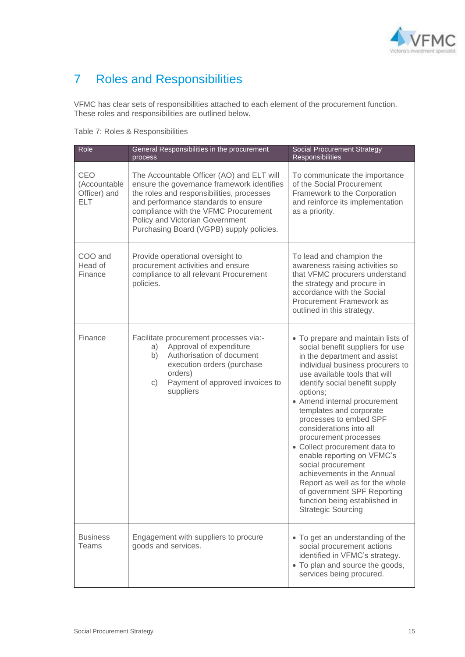

# <span id="page-14-0"></span>7 Roles and Responsibilities

VFMC has clear sets of responsibilities attached to each element of the procurement function. These roles and responsibilities are outlined below.

Table 7: Roles & Responsibilities

| Role                                              | General Responsibilities in the procurement<br>process                                                                                                                                                                                                                                             | <b>Social Procurement Strategy</b><br><b>Responsibilities</b>                                                                                                                                                                                                                                                                                                                                                                                                                                                                                                                                                         |
|---------------------------------------------------|----------------------------------------------------------------------------------------------------------------------------------------------------------------------------------------------------------------------------------------------------------------------------------------------------|-----------------------------------------------------------------------------------------------------------------------------------------------------------------------------------------------------------------------------------------------------------------------------------------------------------------------------------------------------------------------------------------------------------------------------------------------------------------------------------------------------------------------------------------------------------------------------------------------------------------------|
| CEO<br>(Accountable<br>Officer) and<br><b>ELT</b> | The Accountable Officer (AO) and ELT will<br>ensure the governance framework identifies<br>the roles and responsibilities, processes<br>and performance standards to ensure<br>compliance with the VFMC Procurement<br>Policy and Victorian Government<br>Purchasing Board (VGPB) supply policies. | To communicate the importance<br>of the Social Procurement<br>Framework to the Corporation<br>and reinforce its implementation<br>as a priority.                                                                                                                                                                                                                                                                                                                                                                                                                                                                      |
| COO and<br>Head of<br>Finance                     | Provide operational oversight to<br>procurement activities and ensure<br>compliance to all relevant Procurement<br>policies.                                                                                                                                                                       | To lead and champion the<br>awareness raising activities so<br>that VFMC procurers understand<br>the strategy and procure in<br>accordance with the Social<br>Procurement Framework as<br>outlined in this strategy.                                                                                                                                                                                                                                                                                                                                                                                                  |
| Finance                                           | Facilitate procurement processes via:-<br>Approval of expenditure<br>a)<br>Authorisation of document<br>b)<br>execution orders (purchase<br>orders)<br>Payment of approved invoices to<br>c)<br>suppliers                                                                                          | • To prepare and maintain lists of<br>social benefit suppliers for use<br>in the department and assist<br>individual business procurers to<br>use available tools that will<br>identify social benefit supply<br>options;<br>• Amend internal procurement<br>templates and corporate<br>processes to embed SPF<br>considerations into all<br>procurement processes<br>• Collect procurement data to<br>enable reporting on VFMC's<br>social procurement<br>achievements in the Annual<br>Report as well as for the whole<br>of government SPF Reporting<br>function being established in<br><b>Strategic Sourcing</b> |
| <b>Business</b><br>Teams                          | Engagement with suppliers to procure<br>goods and services.                                                                                                                                                                                                                                        | • To get an understanding of the<br>social procurement actions<br>identified in VFMC's strategy.<br>• To plan and source the goods,<br>services being procured.                                                                                                                                                                                                                                                                                                                                                                                                                                                       |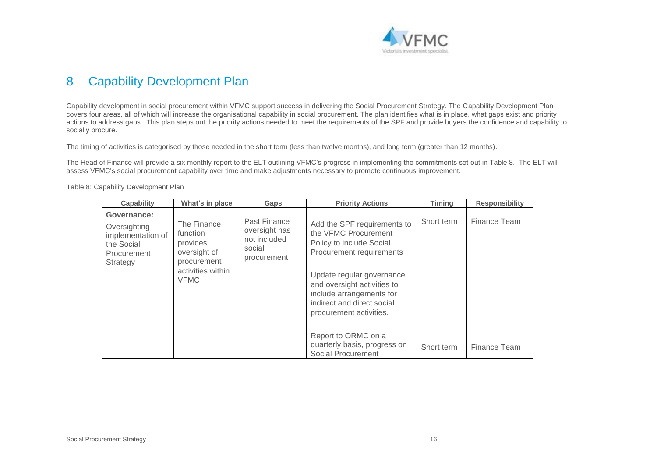

## 8 Capability Development Plan

Capability development in social procurement within VFMC support success in delivering the Social Procurement Strategy. The Capability Development Plan covers four areas, all of which will increase the organisational capability in social procurement. The plan identifies what is in place, what gaps exist and priority actions to address gaps. This plan steps out the priority actions needed to meet the requirements of the SPF and provide buyers the confidence and capability to socially procure.

The timing of activities is categorised by those needed in the short term (less than twelve months), and long term (greater than 12 months).

The Head of Finance will provide a six monthly report to the ELT outlining VFMC's progress in implementing the commitments set out in Table 8. The ELT will assess VFMC's social procurement capability over time and make adjustments necessary to promote continuous improvement.

<span id="page-15-0"></span>

| <b>Capability</b>                                                                                | What's in place                                                                                        | Gaps                                                                   | <b>Priority Actions</b>                                                                                                                                                                                                                                      | Timing     | <b>Responsibility</b> |
|--------------------------------------------------------------------------------------------------|--------------------------------------------------------------------------------------------------------|------------------------------------------------------------------------|--------------------------------------------------------------------------------------------------------------------------------------------------------------------------------------------------------------------------------------------------------------|------------|-----------------------|
| Governance:<br>Oversighting<br>implementation of<br>the Social<br><b>Procurement</b><br>Strategy | The Finance<br>function<br>provides<br>oversight of<br>procurement<br>activities within<br><b>VFMC</b> | Past Finance<br>oversight has<br>not included<br>social<br>procurement | Add the SPF requirements to<br>the VFMC Procurement<br>Policy to include Social<br>Procurement requirements<br>Update regular governance<br>and oversight activities to<br>include arrangements for<br>indirect and direct social<br>procurement activities. | Short term | Finance Team          |
|                                                                                                  |                                                                                                        |                                                                        | Report to ORMC on a<br>quarterly basis, progress on<br><b>Social Procurement</b>                                                                                                                                                                             | Short term | Finance Team          |

Table 8: Capability Development Plan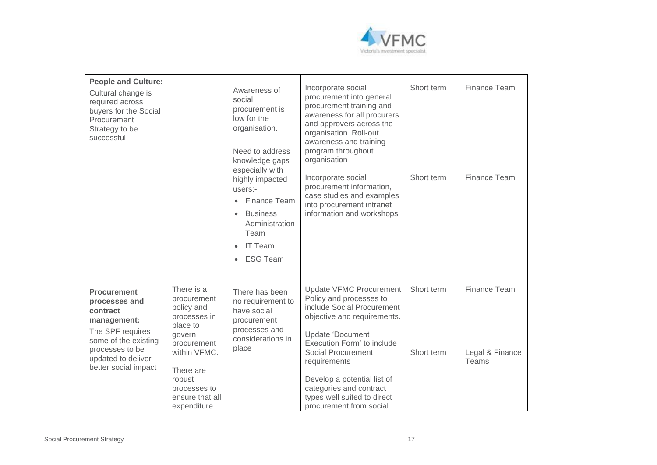

| <b>People and Culture:</b><br>Cultural change is<br>required across<br>buyers for the Social<br>Procurement<br>Strategy to be<br>successful                                 |                                                                                                                                                                                       | Awareness of<br>social<br>procurement is<br>low for the<br>organisation.<br>Need to address<br>knowledge gaps<br>especially with<br>highly impacted<br>users:-<br>Finance Team<br>$\bullet$<br><b>Business</b><br>$\bullet$<br>Administration<br>Team<br><b>IT Team</b><br>$\bullet$<br><b>ESG Team</b><br>$\bullet$ | Incorporate social<br>procurement into general<br>procurement training and<br>awareness for all procurers<br>and approvers across the<br>organisation. Roll-out<br>awareness and training<br>program throughout<br>organisation<br>Incorporate social<br>procurement information,<br>case studies and examples<br>into procurement intranet<br>information and workshops | Short term<br>Short term | <b>Finance Team</b><br>Finance Team      |
|-----------------------------------------------------------------------------------------------------------------------------------------------------------------------------|---------------------------------------------------------------------------------------------------------------------------------------------------------------------------------------|----------------------------------------------------------------------------------------------------------------------------------------------------------------------------------------------------------------------------------------------------------------------------------------------------------------------|--------------------------------------------------------------------------------------------------------------------------------------------------------------------------------------------------------------------------------------------------------------------------------------------------------------------------------------------------------------------------|--------------------------|------------------------------------------|
| <b>Procurement</b><br>processes and<br>contract<br>management:<br>The SPF requires<br>some of the existing<br>processes to be<br>updated to deliver<br>better social impact | There is a<br>procurement<br>policy and<br>processes in<br>place to<br>govern<br>procurement<br>within VFMC.<br>There are<br>robust<br>processes to<br>ensure that all<br>expenditure | There has been<br>no requirement to<br>have social<br>procurement<br>processes and<br>considerations in<br>place                                                                                                                                                                                                     | <b>Update VFMC Procurement</b><br>Policy and processes to<br>include Social Procurement<br>objective and requirements.<br><b>Update 'Document</b><br>Execution Form' to include<br><b>Social Procurement</b><br>requirements<br>Develop a potential list of<br>categories and contract<br>types well suited to direct<br>procurement from social                         | Short term<br>Short term | Finance Team<br>Legal & Finance<br>Teams |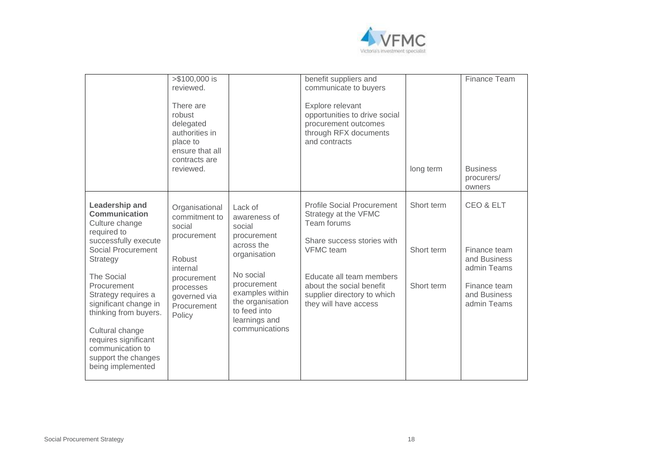

|                                                                                                                                                                                                                                                                                                                                                                         | >\$100,000 is<br>reviewed.<br>There are<br>robust<br>delegated<br>authorities in<br>place to<br>ensure that all<br>contracts are<br>reviewed.       |                                                                                                                                                                                                      | benefit suppliers and<br>communicate to buyers<br>Explore relevant<br>opportunities to drive social<br>procurement outcomes<br>through RFX documents<br>and contracts                                                                      | long term                              | Finance Team<br><b>Business</b><br>procurers/<br>owners                                                 |
|-------------------------------------------------------------------------------------------------------------------------------------------------------------------------------------------------------------------------------------------------------------------------------------------------------------------------------------------------------------------------|-----------------------------------------------------------------------------------------------------------------------------------------------------|------------------------------------------------------------------------------------------------------------------------------------------------------------------------------------------------------|--------------------------------------------------------------------------------------------------------------------------------------------------------------------------------------------------------------------------------------------|----------------------------------------|---------------------------------------------------------------------------------------------------------|
| <b>Leadership and</b><br><b>Communication</b><br>Culture change<br>required to<br>successfully execute<br>Social Procurement<br><b>Strategy</b><br><b>The Social</b><br>Procurement<br>Strategy requires a<br>significant change in<br>thinking from buyers.<br>Cultural change<br>requires significant<br>communication to<br>support the changes<br>being implemented | Organisational<br>commitment to<br>social<br>procurement<br>Robust<br>internal<br>procurement<br>processes<br>governed via<br>Procurement<br>Policy | Lack of<br>awareness of<br>social<br>procurement<br>across the<br>organisation<br>No social<br>procurement<br>examples within<br>the organisation<br>to feed into<br>learnings and<br>communications | <b>Profile Social Procurement</b><br>Strategy at the VFMC<br>Team forums<br>Share success stories with<br><b>VFMC</b> team<br>Educate all team members<br>about the social benefit<br>supplier directory to which<br>they will have access | Short term<br>Short term<br>Short term | CEO & ELT<br>Finance team<br>and Business<br>admin Teams<br>Finance team<br>and Business<br>admin Teams |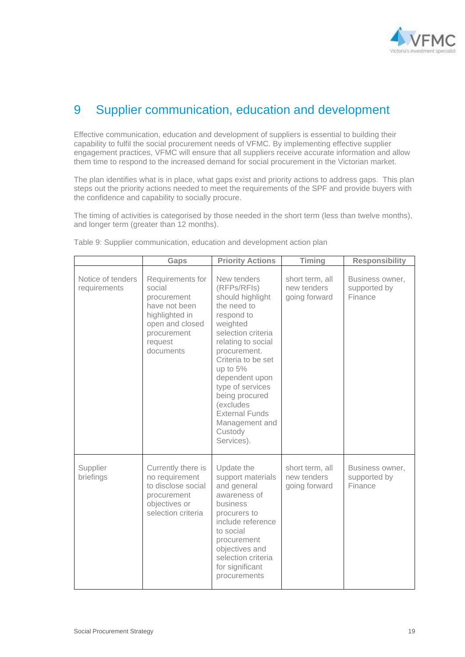

## <span id="page-18-0"></span>9 Supplier communication, education and development

Effective communication, education and development of suppliers is essential to building their capability to fulfil the social procurement needs of VFMC. By implementing effective supplier engagement practices, VFMC will ensure that all suppliers receive accurate information and allow them time to respond to the increased demand for social procurement in the Victorian market.

The plan identifies what is in place, what gaps exist and priority actions to address gaps. This plan steps out the priority actions needed to meet the requirements of the SPF and provide buyers with the confidence and capability to socially procure.

The timing of activities is categorised by those needed in the short term (less than twelve months), and longer term (greater than 12 months).

|                                   | Gaps                                                                                                                                   | <b>Priority Actions</b>                                                                                                                                                                                                                                                                                                        | Timing                                          | <b>Responsibility</b>                      |
|-----------------------------------|----------------------------------------------------------------------------------------------------------------------------------------|--------------------------------------------------------------------------------------------------------------------------------------------------------------------------------------------------------------------------------------------------------------------------------------------------------------------------------|-------------------------------------------------|--------------------------------------------|
| Notice of tenders<br>requirements | Requirements for<br>social<br>procurement<br>have not been<br>highlighted in<br>open and closed<br>procurement<br>request<br>documents | New tenders<br>(RFPs/RFIs)<br>should highlight<br>the need to<br>respond to<br>weighted<br>selection criteria<br>relating to social<br>procurement.<br>Criteria to be set<br>up to 5%<br>dependent upon<br>type of services<br>being procured<br>(excludes<br><b>External Funds</b><br>Management and<br>Custody<br>Services). | short term, all<br>new tenders<br>going forward | Business owner,<br>supported by<br>Finance |
| Supplier<br>briefings             | Currently there is<br>no requirement<br>to disclose social<br>procurement<br>objectives or<br>selection criteria                       | Update the<br>support materials<br>and general<br>awareness of<br>business<br>procurers to<br>include reference<br>to social<br>procurement<br>objectives and<br>selection criteria<br>for significant<br>procurements                                                                                                         | short term, all<br>new tenders<br>going forward | Business owner,<br>supported by<br>Finance |

Table 9: Supplier communication, education and development action plan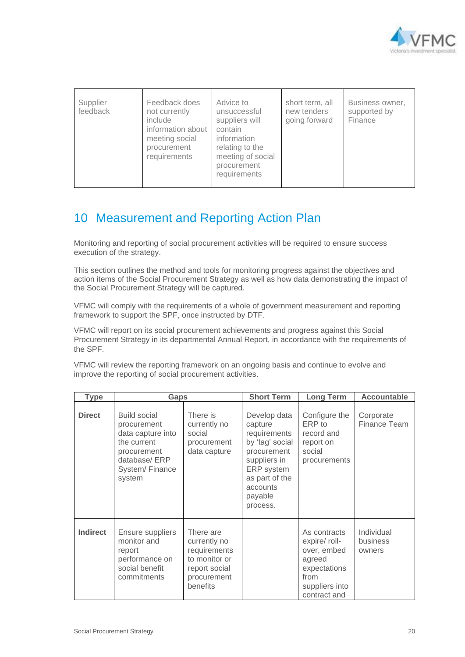

| Supplier<br>feedback | Feedback does<br>not currently<br>include<br>information about<br>meeting social<br>procurement<br>requirements | Advice to<br>unsuccessful<br>suppliers will<br>contain<br>information<br>relating to the<br>meeting of social<br>procurement<br>requirements | short term, all<br>new tenders<br>going forward | Business owner,<br>supported by<br>Finance |
|----------------------|-----------------------------------------------------------------------------------------------------------------|----------------------------------------------------------------------------------------------------------------------------------------------|-------------------------------------------------|--------------------------------------------|
|----------------------|-----------------------------------------------------------------------------------------------------------------|----------------------------------------------------------------------------------------------------------------------------------------------|-------------------------------------------------|--------------------------------------------|

### <span id="page-19-0"></span>10 Measurement and Reporting Action Plan

Monitoring and reporting of social procurement activities will be required to ensure success execution of the strategy.

This section outlines the method and tools for monitoring progress against the objectives and action items of the Social Procurement Strategy as well as how data demonstrating the impact of the Social Procurement Strategy will be captured.

VFMC will comply with the requirements of a whole of government measurement and reporting framework to support the SPF, once instructed by DTF.

VFMC will report on its social procurement achievements and progress against this Social Procurement Strategy in its departmental Annual Report, in accordance with the requirements of the SPF.

VFMC will review the reporting framework on an ongoing basis and continue to evolve and improve the reporting of social procurement activities.

| <b>Type</b>     | <b>Gaps</b>                                                                                                                       |                                                                                                        | <b>Short Term</b>                                                                                                                                            | <b>Long Term</b>                                                                                                 | <b>Accountable</b>               |
|-----------------|-----------------------------------------------------------------------------------------------------------------------------------|--------------------------------------------------------------------------------------------------------|--------------------------------------------------------------------------------------------------------------------------------------------------------------|------------------------------------------------------------------------------------------------------------------|----------------------------------|
| <b>Direct</b>   | <b>Build social</b><br>procurement<br>data capture into<br>the current<br>procurement<br>database/ERP<br>System/Finance<br>system | There is<br>currently no<br>social<br>procurement<br>data capture                                      | Develop data<br>capture<br>requirements<br>by 'tag' social<br>procurement<br>suppliers in<br>ERP system<br>as part of the<br>accounts<br>payable<br>process. | Configure the<br>ERP to<br>record and<br>report on<br>social<br>procurements                                     | Corporate<br>Finance Team        |
| <b>Indirect</b> | Ensure suppliers<br>monitor and<br>report<br>performance on<br>social benefit<br>commitments                                      | There are<br>currently no<br>requirements<br>to monitor or<br>report social<br>procurement<br>benefits |                                                                                                                                                              | As contracts<br>expire/ roll-<br>over, embed<br>agreed<br>expectations<br>from<br>suppliers into<br>contract and | Individual<br>business<br>owners |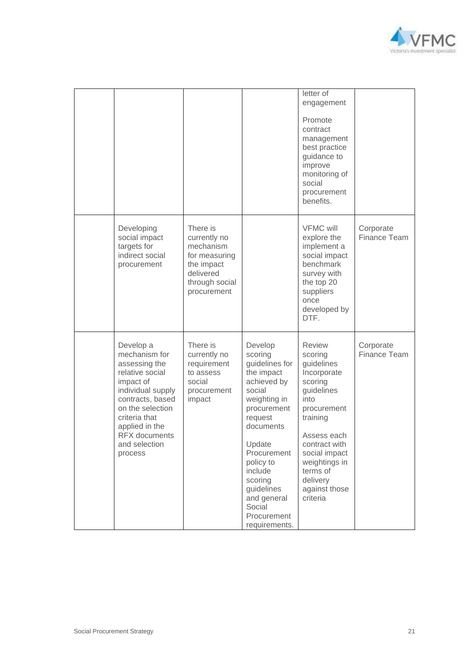

|                                                                                                                                                                                                                                 |                                                                                                                    |                                                                                                                                                                                                                                                                       | letter of<br>engagement<br>Promote<br>contract<br>management<br>best practice<br>guidance to<br>improve<br>monitoring of<br>social<br>procurement<br>benefits.                                                                           |                           |
|---------------------------------------------------------------------------------------------------------------------------------------------------------------------------------------------------------------------------------|--------------------------------------------------------------------------------------------------------------------|-----------------------------------------------------------------------------------------------------------------------------------------------------------------------------------------------------------------------------------------------------------------------|------------------------------------------------------------------------------------------------------------------------------------------------------------------------------------------------------------------------------------------|---------------------------|
| Developing<br>social impact<br>targets for<br>indirect social<br>procurement                                                                                                                                                    | There is<br>currently no<br>mechanism<br>for measuring<br>the impact<br>delivered<br>through social<br>procurement |                                                                                                                                                                                                                                                                       | <b>VFMC will</b><br>explore the<br>implement a<br>social impact<br>benchmark<br>survey with<br>the top 20<br>suppliers<br>once<br>developed by<br>DTF.                                                                                   | Corporate<br>Finance Team |
| Develop a<br>mechanism for<br>assessing the<br>relative social<br>impact of<br>individual supply<br>contracts, based<br>on the selection<br>criteria that<br>applied in the<br><b>RFX</b> documents<br>and selection<br>process | There is<br>currently no<br>requirement<br>to assess<br>social<br>procurement<br>impact                            | Develop<br>scoring<br>guidelines for<br>the impact<br>achieved by<br>social<br>weighting in<br>procurement<br>request<br>documents<br>Update<br>Procurement<br>policy to<br>include<br>scoring<br>guidelines<br>and general<br>Social<br>Procurement<br>requirements. | <b>Review</b><br>scoring<br>guidelines<br>Incorporate<br>scoring<br>guidelines<br>into<br>procurement<br>training<br>Assess each<br>contract with<br>social impact<br>weightings in<br>terms of<br>delivery<br>against those<br>criteria | Corporate<br>Finance Team |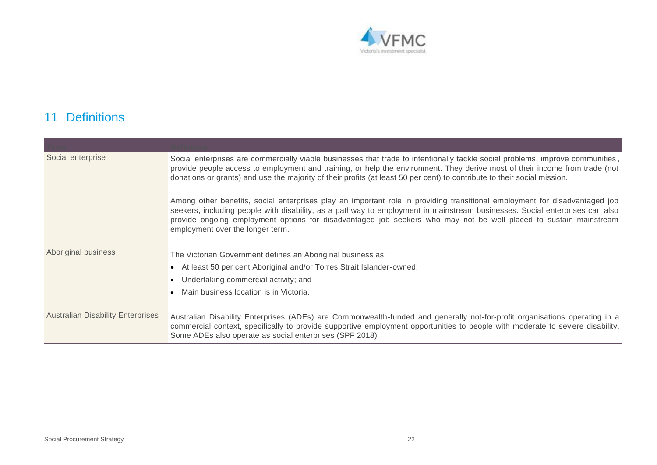

## 11 Definitions

<span id="page-21-0"></span>

| Social enterprise                        | Social enterprises are commercially viable businesses that trade to intentionally tackle social problems, improve communities,<br>provide people access to employment and training, or help the environment. They derive most of their income from trade (not<br>donations or grants) and use the majority of their profits (at least 50 per cent) to contribute to their social mission.                          |
|------------------------------------------|--------------------------------------------------------------------------------------------------------------------------------------------------------------------------------------------------------------------------------------------------------------------------------------------------------------------------------------------------------------------------------------------------------------------|
|                                          | Among other benefits, social enterprises play an important role in providing transitional employment for disadvantaged job<br>seekers, including people with disability, as a pathway to employment in mainstream businesses. Social enterprises can also<br>provide ongoing employment options for disadvantaged job seekers who may not be well placed to sustain mainstream<br>employment over the longer term. |
| Aboriginal business                      | The Victorian Government defines an Aboriginal business as:                                                                                                                                                                                                                                                                                                                                                        |
|                                          | • At least 50 per cent Aboriginal and/or Torres Strait Islander-owned;                                                                                                                                                                                                                                                                                                                                             |
|                                          | Undertaking commercial activity; and                                                                                                                                                                                                                                                                                                                                                                               |
|                                          | Main business location is in Victoria.                                                                                                                                                                                                                                                                                                                                                                             |
|                                          |                                                                                                                                                                                                                                                                                                                                                                                                                    |
| <b>Australian Disability Enterprises</b> | Australian Disability Enterprises (ADEs) are Commonwealth-funded and generally not-for-profit organisations operating in a<br>commercial context, specifically to provide supportive employment opportunities to people with moderate to severe disability.<br>Some ADEs also operate as social enterprises (SPF 2018)                                                                                             |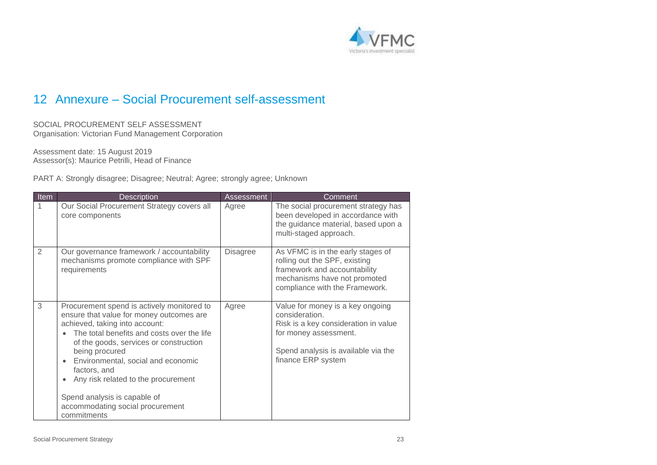

### 12 Annexure – Social Procurement self-assessment

SOCIAL PROCUREMENT SELF ASSESSMENT Organisation: Victorian Fund Management Corporation

Assessment date: 15 August 2019 Assessor(s): Maurice Petrilli, Head of Finance

PART A: Strongly disagree; Disagree; Neutral; Agree; strongly agree; Unknown

<span id="page-22-0"></span>

| <b>Item</b>  | <b>Description</b>                                                                                                                                                                                                                                                                                                                                                                                                              | <b>Assessment</b> | Comment                                                                                                                                                                          |
|--------------|---------------------------------------------------------------------------------------------------------------------------------------------------------------------------------------------------------------------------------------------------------------------------------------------------------------------------------------------------------------------------------------------------------------------------------|-------------------|----------------------------------------------------------------------------------------------------------------------------------------------------------------------------------|
| $\mathbf{1}$ | Our Social Procurement Strategy covers all<br>core components                                                                                                                                                                                                                                                                                                                                                                   | Agree             | The social procurement strategy has<br>been developed in accordance with<br>the guidance material, based upon a<br>multi-staged approach.                                        |
| 2            | Our governance framework / accountability<br>mechanisms promote compliance with SPF<br>requirements                                                                                                                                                                                                                                                                                                                             | <b>Disagree</b>   | As VFMC is in the early stages of<br>rolling out the SPF, existing<br>framework and accountability<br>mechanisms have not promoted<br>compliance with the Framework.             |
| 3            | Procurement spend is actively monitored to<br>ensure that value for money outcomes are<br>achieved, taking into account:<br>The total benefits and costs over the life<br>of the goods, services or construction<br>being procured<br>Environmental, social and economic<br>factors, and<br>Any risk related to the procurement<br>$\bullet$<br>Spend analysis is capable of<br>accommodating social procurement<br>commitments | Agree             | Value for money is a key ongoing<br>consideration.<br>Risk is a key consideration in value<br>for money assessment.<br>Spend analysis is available via the<br>finance ERP system |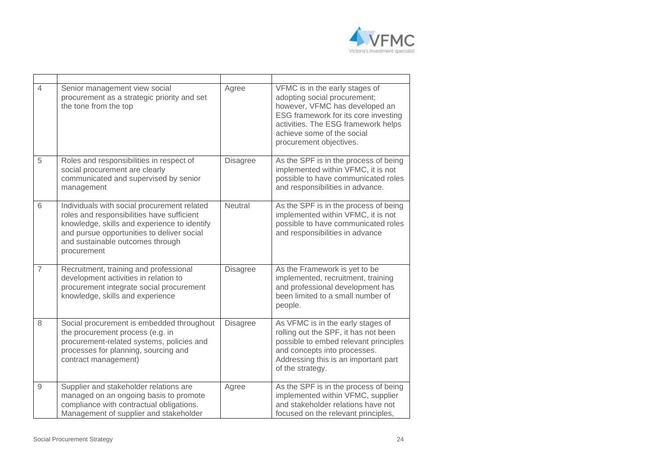

| $\overline{4}$ | Senior management view social<br>procurement as a strategic priority and set<br>the tone from the top                                                                                                                                      | Agree           | VFMC is in the early stages of<br>adopting social procurement;<br>however, VFMC has developed an<br>ESG framework for its core investing<br>activities. The ESG framework helps<br>achieve some of the social<br>procurement objectives. |
|----------------|--------------------------------------------------------------------------------------------------------------------------------------------------------------------------------------------------------------------------------------------|-----------------|------------------------------------------------------------------------------------------------------------------------------------------------------------------------------------------------------------------------------------------|
| 5              | Roles and responsibilities in respect of<br>social procurement are clearly<br>communicated and supervised by senior<br>management                                                                                                          | <b>Disagree</b> | As the SPF is in the process of being<br>implemented within VFMC, it is not<br>possible to have communicated roles<br>and responsibilities in advance.                                                                                   |
| 6              | Individuals with social procurement related<br>roles and responsibilities have sufficient<br>knowledge, skills and experience to identify<br>and pursue opportunities to deliver social<br>and sustainable outcomes through<br>procurement | Neutral         | As the SPF is in the process of being<br>implemented within VFMC, it is not<br>possible to have communicated roles<br>and responsibilities in advance                                                                                    |
| $\overline{7}$ | Recruitment, training and professional<br>development activities in relation to<br>procurement integrate social procurement<br>knowledge, skills and experience                                                                            | <b>Disagree</b> | As the Framework is yet to be<br>implemented, recruitment, training<br>and professional development has<br>been limited to a small number of<br>people.                                                                                  |
| 8              | Social procurement is embedded throughout<br>the procurement process (e.g. in<br>procurement-related systems, policies and<br>processes for planning, sourcing and<br>contract management)                                                 | <b>Disagree</b> | As VFMC is in the early stages of<br>rolling out the SPF, it has not been<br>possible to embed relevant principles<br>and concepts into processes.<br>Addressing this is an important part<br>of the strategy.                           |
| 9              | Supplier and stakeholder relations are<br>managed on an ongoing basis to promote<br>compliance with contractual obligations.<br>Management of supplier and stakeholder                                                                     | Agree           | As the SPF is in the process of being<br>implemented within VFMC, supplier<br>and stakeholder relations have not<br>focused on the relevant principles,                                                                                  |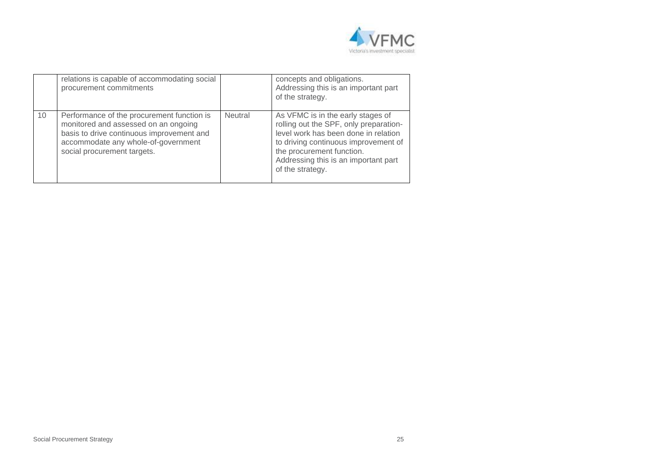

|    | relations is capable of accommodating social<br>procurement commitments                                                                                                                               |                | concepts and obligations.<br>Addressing this is an important part<br>of the strategy.                                                                                                                                                                |
|----|-------------------------------------------------------------------------------------------------------------------------------------------------------------------------------------------------------|----------------|------------------------------------------------------------------------------------------------------------------------------------------------------------------------------------------------------------------------------------------------------|
| 10 | Performance of the procurement function is<br>monitored and assessed on an ongoing<br>basis to drive continuous improvement and<br>accommodate any whole-of-government<br>social procurement targets. | <b>Neutral</b> | As VFMC is in the early stages of<br>rolling out the SPF, only preparation-<br>level work has been done in relation<br>to driving continuous improvement of<br>the procurement function.<br>Addressing this is an important part<br>of the strategy. |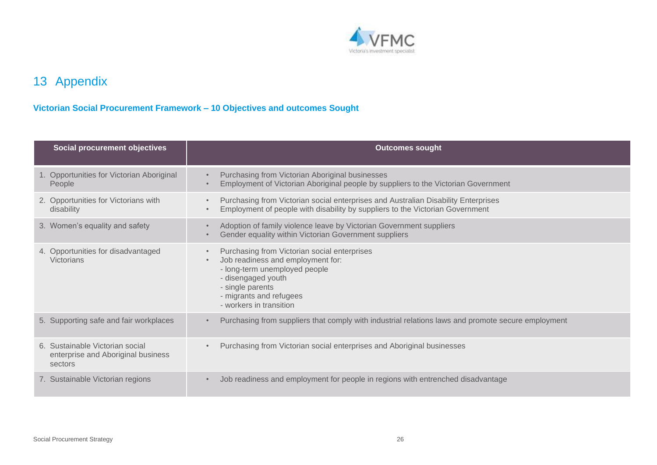

# 13 Appendix

### **Victorian Social Procurement Framework – 10 Objectives and outcomes Sought**

<span id="page-25-0"></span>

| <b>Social procurement objectives</b>                                             | <b>Outcomes sought</b>                                                                                                                                                                                             |
|----------------------------------------------------------------------------------|--------------------------------------------------------------------------------------------------------------------------------------------------------------------------------------------------------------------|
| 1. Opportunities for Victorian Aboriginal<br>People                              | Purchasing from Victorian Aboriginal businesses<br>Employment of Victorian Aboriginal people by suppliers to the Victorian Government                                                                              |
| 2. Opportunities for Victorians with<br>disability                               | Purchasing from Victorian social enterprises and Australian Disability Enterprises<br>Employment of people with disability by suppliers to the Victorian Government                                                |
| 3. Women's equality and safety                                                   | Adoption of family violence leave by Victorian Government suppliers<br>Gender equality within Victorian Government suppliers                                                                                       |
| 4. Opportunities for disadvantaged<br><b>Victorians</b>                          | Purchasing from Victorian social enterprises<br>Job readiness and employment for:<br>- long-term unemployed people<br>- disengaged youth<br>- single parents<br>- migrants and refugees<br>- workers in transition |
| 5. Supporting safe and fair workplaces                                           | Purchasing from suppliers that comply with industrial relations laws and promote secure employment                                                                                                                 |
| 6. Sustainable Victorian social<br>enterprise and Aboriginal business<br>sectors | Purchasing from Victorian social enterprises and Aboriginal businesses                                                                                                                                             |
| 7. Sustainable Victorian regions                                                 | Job readiness and employment for people in regions with entrenched disadvantage                                                                                                                                    |